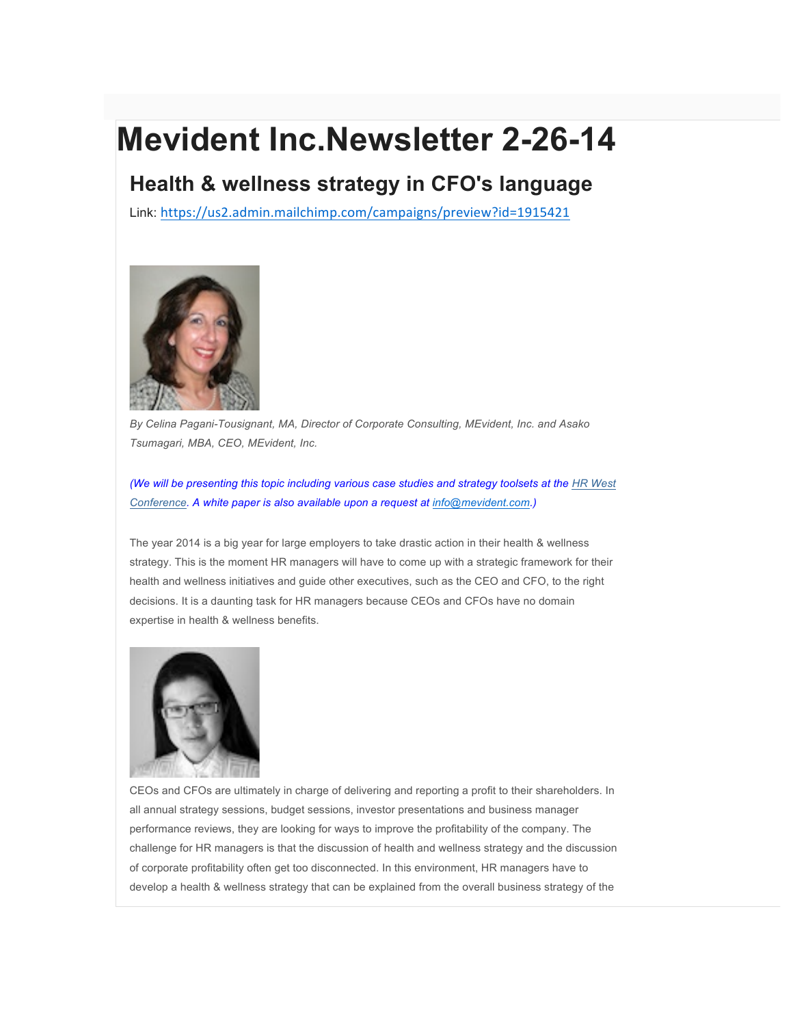## **Mevident Inc.Newsletter 2-26-14**

## **Health & wellness strategy in CFO's language**

Link: https://us2.admin.mailchimp.com/campaigns/preview?id=1915421



*By Celina Pagani-Tousignant, MA, Director of Corporate Consulting, MEvident, Inc. and Asako Tsumagari, MBA, CEO, MEvident, Inc.*

*(We will be presenting this topic including various case studies and strategy toolsets at the HR West Conference. A white paper is also available upon a request at info@mevident.com.)*

The year 2014 is a big year for large employers to take drastic action in their health & wellness strategy. This is the moment HR managers will have to come up with a strategic framework for their health and wellness initiatives and guide other executives, such as the CEO and CFO, to the right decisions. It is a daunting task for HR managers because CEOs and CFOs have no domain expertise in health & wellness benefits.



CEOs and CFOs are ultimately in charge of delivering and reporting a profit to their shareholders. In all annual strategy sessions, budget sessions, investor presentations and business manager performance reviews, they are looking for ways to improve the profitability of the company. The challenge for HR managers is that the discussion of health and wellness strategy and the discussion of corporate profitability often get too disconnected. In this environment, HR managers have to develop a health & wellness strategy that can be explained from the overall business strategy of the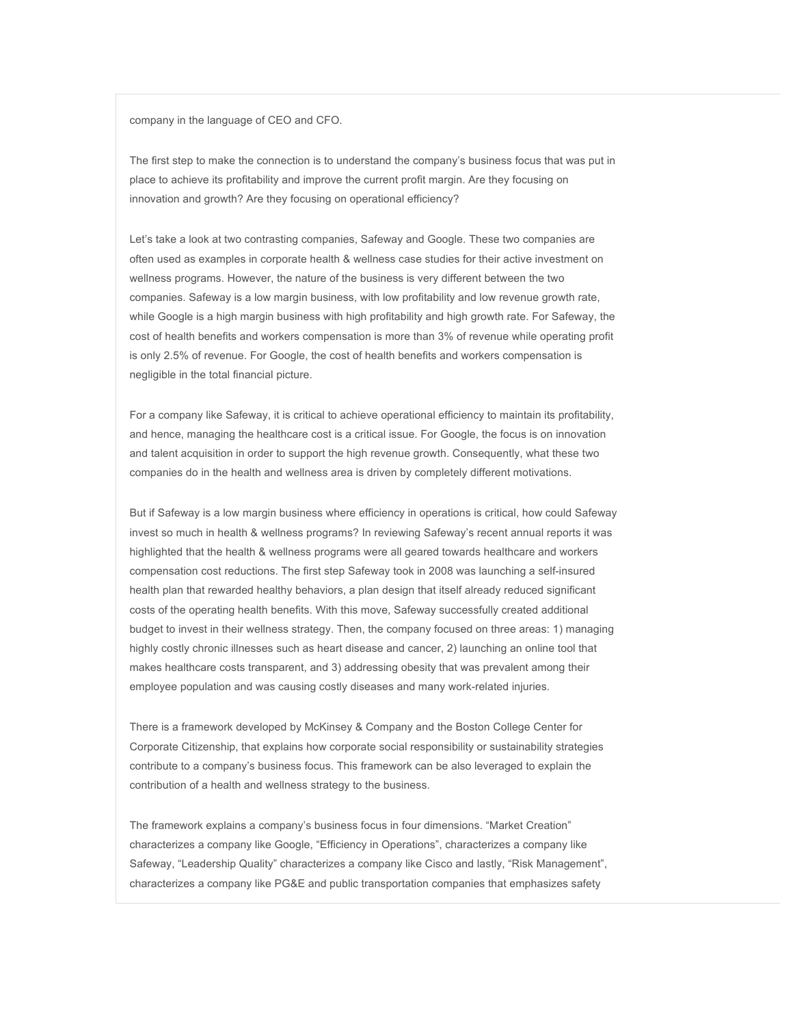company in the language of CEO and CFO.

The first step to make the connection is to understand the company's business focus that was put in place to achieve its profitability and improve the current profit margin. Are they focusing on innovation and growth? Are they focusing on operational efficiency?

Let's take a look at two contrasting companies, Safeway and Google. These two companies are often used as examples in corporate health & wellness case studies for their active investment on wellness programs. However, the nature of the business is very different between the two companies. Safeway is a low margin business, with low profitability and low revenue growth rate, while Google is a high margin business with high profitability and high growth rate. For Safeway, the cost of health benefits and workers compensation is more than 3% of revenue while operating profit is only 2.5% of revenue. For Google, the cost of health benefits and workers compensation is negligible in the total financial picture.

For a company like Safeway, it is critical to achieve operational efficiency to maintain its profitability, and hence, managing the healthcare cost is a critical issue. For Google, the focus is on innovation and talent acquisition in order to support the high revenue growth. Consequently, what these two companies do in the health and wellness area is driven by completely different motivations.

But if Safeway is a low margin business where efficiency in operations is critical, how could Safeway invest so much in health & wellness programs? In reviewing Safeway's recent annual reports it was highlighted that the health & wellness programs were all geared towards healthcare and workers compensation cost reductions. The first step Safeway took in 2008 was launching a self-insured health plan that rewarded healthy behaviors, a plan design that itself already reduced significant costs of the operating health benefits. With this move, Safeway successfully created additional budget to invest in their wellness strategy. Then, the company focused on three areas: 1) managing highly costly chronic illnesses such as heart disease and cancer, 2) launching an online tool that makes healthcare costs transparent, and 3) addressing obesity that was prevalent among their employee population and was causing costly diseases and many work-related injuries.

There is a framework developed by McKinsey & Company and the Boston College Center for Corporate Citizenship, that explains how corporate social responsibility or sustainability strategies contribute to a company's business focus. This framework can be also leveraged to explain the contribution of a health and wellness strategy to the business.

The framework explains a company's business focus in four dimensions. "Market Creation" characterizes a company like Google, "Efficiency in Operations", characterizes a company like Safeway, "Leadership Quality" characterizes a company like Cisco and lastly, "Risk Management", characterizes a company like PG&E and public transportation companies that emphasizes safety